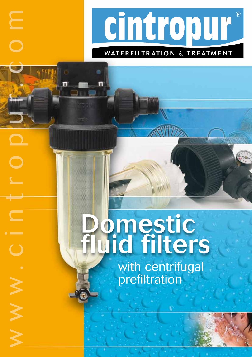

# WATERFILTRATION & TREATMENT

WW

m

 $\bigcirc$ 

 $\bm{\gtrless}$ 

# **d**<br>Pomestic<br>Juid filters

with centrifugal prefiltration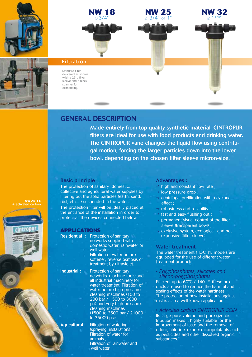









#### Filtration

Standard filter delivered as shown (with a  $25 \mu$  filter sleeve and a black spanner for dismantling)

# GENERAL DESCRIPTION

Made entirely from top quality synthetic material, CINTROPUR filters are ideal for use with food products and drinking water. The CINTROPUR vane changes the liquid flow using centrifugal motion, forcing the larger particles down into the lower bowl, depending on the chosen filter sleeve micron-size.

#### Basic principle

The protection of sanitary domestic, collective and agricultural water supplies by filtering out the solid particles (earth, sand, rust, etc,…) suspended in the water. The protection filter will be ideally placed at the entrance of the installation in order to protect all the devices connected below.

#### **APPLICATIONS**

Residential : Protection of sanitary networks supplied with domestic water, rainwater or well water. Filtration of water before softener, reverse osmosis or treatment by ultraviolet.

Industrial : Protection of sanitary networks, machine tools and all industrial machinery for water treatment. Filtration of water before high pressure cleaning machines (100 to 200 bar / 1500 to 3000 psi) and very high pressure cleaning machines (1500 to 2500 bar / 21000 to 35000 psi).

Agricultural: Filtration of watering (spraying) installations ; Filtration of water for animals ; Filtration of rainwater and well water.

#### Advantages :

- $\rightarrow$  high and constant flow rate;
- $\rightarrow$  low pressure drop ;
- $\rightarrow$  centrifugal prefiltration with a cyclonal effect ;
- $\rightarrow$  robustness and reliability ;
- $\rightarrow$  fast and easy flushing out ;
- $\rightarrow$  permanent visual control of the filter sleeve (transparent bowl) :
- $\rightarrow$  exclusive system, ecological and not expensive (filter sleeve).

#### Water treatment

The water treatment (TE-CTN) models are equipped for the use of different water treatment products.

*• Polyphosphates, silicates and silicon-polyphosphates.* 

Efficient up to 60°C / 140° F, these products are used to reduce the harmful and scaling effects of the water hardness. The protection of new installations against rust is also a well known application.

### *• Activated carbon CINTROPUR SCIN*

Its large pore volume and pore size distribution makes it highly suitable for the improvement of taste and the removal of odour, chlorine, ozone, micropolutants such as pesticides and other dissolved organic substances.

**NW25 TE** activated carbon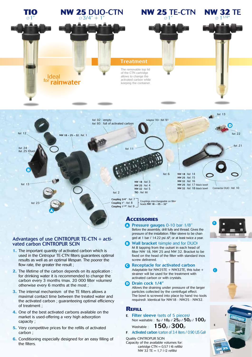

#### Advantages of use CINTROPUR TE-CTN + activated carbon CINTROPUR SCIN

- **1.** The important quantity of activated carbon which is used in the Cintropur TE-CTN filters guarantees optimal results as well as an optimal lifespan. The poorer the flow rate, the greater the result ;
- **2.** The lifetime of the carbon depends on its application : for drinking water it is recommended to change the carbon every 3 months (max. 20 000 filter volumes) otherwise every 6 months at the most ;
- **3.** The internal mechanism of the TE filters allows a maximal contact time between the treated water and the activated carbon ; guaranteeing optimal efficiency of treatment ;
- **4.** One of the best activated carbons available on the market is used-offering a very high adsorption capacity ;
- **5.** Very competitive prices for the refills of activated carbon ;
- **6.** Conditioning especially designed for an easy filling of the filters.

## **Accessories**

- **A** Pressure gauges 0-10 bar 1/8" Before the assembly, drill fully and thread. Gives the pressure of the installation. Filter sleeve to be changed at 1 bar / 14.22 psi ∆P, or at least twice a year.
- **B** Wall bracket (simple and for DUO) M 8 tapping from the outset in each head of filter NW 18, NW 25 and NW 32. Bracket to be fixed on the head of the filter with standard inox screw delivered.
- **C** Receptacle for activated carbon Adaptable for NW25TE + NW32TE, this tube + strainer will be used for the treatment with activated carbon or with crystals.

#### **D** Drain cock 1/4"

Allows the draining under pressure of the larger particles collected by the centrifugal effect. The bowl is screwed into place by hand (no tools required). Identical for NW18 - NW25 - NW32.

#### **Refill**

- E. Filter sleeve (sets of 5 pieces) Non washable : <sup>5</sup>µ / 10µ / 25µ / 50µ / 100<sup>µ</sup> Washable :  $150<sub>µ</sub>$  /  $300<sub>µ</sub>$
- F. Activated carbon (carton of 3.4 liters / 0.90 US Gal)

#### Quality CINTROPUR SCIN

Capacity of the available volumes for: cartridge CTN  $= 0.57$  I (6 refills) NW 32 TE =  $1,7$  I (2 refills)



B